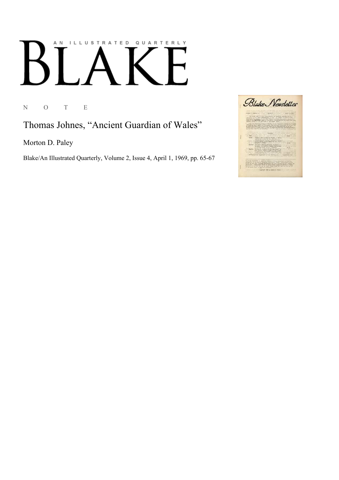## AN ILLUSTRATED QUARTERLY  $\begin{bmatrix} 1 & 1 \\ 1 & 1 \end{bmatrix}$  $\Gamma$  $\boldsymbol{\mathsf{B}}$

N O T E

Thomas Johnes, "Ancient Guardian of Wales"

Morton D. Paley

Blake/An Illustrated Quarterly, Volume 2, Issue 4, April 1, 1969, pp. 65-67

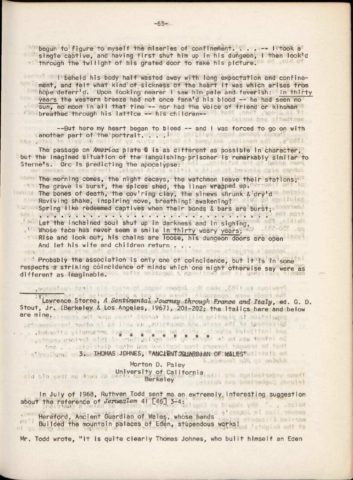begun to figure to myself the miseries of confinement. . . . -- Iitook a single captive, and having first shut him up in his dungeon, *\* then look'd through the twilight of his grated door to take his picture.

r beheld his body half wasted away with long expectation and confinement, and felt what kind of sickness of the heart it was which arises from hope deferr'd. Upon looking nearer I saw him pale and feverish: in thirty years the western breeze had not once fann'd his blood -- he had seen no sun, no moon in all that time -- nor had the voice of friend or kinsman **breathed through his lattice — his children** says sulsidos bns, oltedtaes

—But here my heart began to bleed — and I was forced to go on with another part of the portrait. . . .'

The passage on *America* plate 6 is as different as possible in character, but the imagined situation of the languishing prisoner is remarkably similar to Sterne's. Ore Is predicting the apocalypse: ;

The morning comes, the night decays, the watchmen leave their stations;1 The grave is burst, the spices shed, the linen wrapped up. The bones of death, the cov'ring clay, the sinews shrunk & dry'd Reviving shake, inspiring move, breathing! awakening! : Spring like redeemed captives when their bonds & bars are burst; Let the inchained soul shut up in darkness and in sighing, \* Whose face has never seem a smile in thirty weary years; \* Rise and look out, his chains are loose, his dungeon doors are open And let his wife and children return . . .

Probably the association is only one of coincidence, but it is in some respects a striking coincidence of minds which one might otherwise say were as<br>different as imaginable. different as imaginable. Where we have a series

Provide fo (783, when Mr. Johnson began to erect his first ranivery

Lawrence Sterne, *A Sentimental Journey through France and Italy,* ed. G. 0 Stout, Jr. (Berkeley & Los Angeles, 1967), 201-202; the italics here and below are mine. I had to only not the server to are ille entimate at nottetugoe

> \* \* \* \* \* \* \* \* . • . . • *<sup>M</sup> ■■ ■ : ., • ■*; . • ' •

3. THOMAS JOHNES, VANCIENT SQUARDJAN OF WALES" WILL BID

Morton D. Paley ald bib your an down as serversity of California, and who applies have seed. Berkeley Mattes bas basined with about

acromoment the waste ond animirar, are under the city of the necessary

In July of 1968, Ruthven Todd sent me an extremely interesting suggestion about the reference of *Jerusalem* 41 [46] 3-4:

Hereford, Ancient Guardian of Wales, whose hands Builded the mountain palaces of Eden, stupendous works!

Mr. Todd wrote, "It is quite clearly Thomas Johnes, who built himself an Eden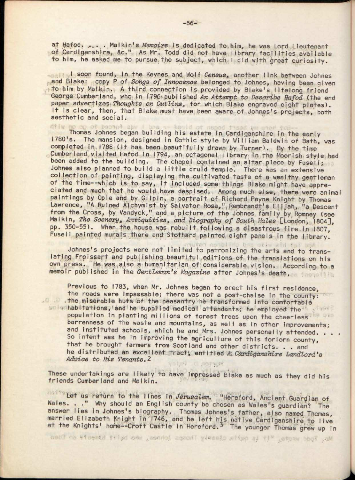at Mafod. .... . Malkin's *Memoirs* is.dedicated to.him, he was Lord Lieutenant of Cardiganshire, &c." As Mr. Todd did not have library facilities available to him, he asked me to pursue the subject, which I did with great curiosity.

I soon found, in the Keynes and Wolf Census, another link between Johnes and Blake: copy P of *Songs of Innocence* belonged to Johnes, having been given to him by Malkin. A third connection is provided by Blake's Iifelong friend George Cumberland, who in 1796 published An Attempt to Describe Hafod ithe end paper advertizes- *Thoughts on Outline,* for which Blake engraved eight plates). It is clear, then, that Blake must have been aware of Johnes's projects, both aesthetic and social.

diw no op of bearot any ! bas -- beald of maped fised ym mod fu Thomas Johnes began building his estate in Cardiganshire in the early 1780's. The mansion, designed in Gothic style by William Baldwin of Bath, was completed in.1788 (it has been beautifully drawn, by Turner). By the time Cumberland visited Hafod in 1794, an octagonal library in the Moorish style had been added to the building. The chapel contained an altar piece by Fuseli; Johnes also planned to build a little druid temple. There was an extensive collection of painting, displaying the cultivated taste of a wealthy gentleman of the time—which is to say, it included some things Blake might have appreciated and much that he would have despised. Among much else, there were animal paintings by Opie and by Gilpin, a portrait of Richard Payne Knight by Thomas Lawrence, "A Ruined A|chymist by Salvator Rosa,". Rembrandt's Elijah, "a Descent from the Cross, by Vandyck," and a picture of the Johnes family by Romney (see Malkin, *The Scenery\* Antiquities, and Biography of South Hales* [London', 1804], pp. 350-55). When the house was rebuilt following a disastrous fire *\n* 1307, Fuseli painted murals there and Stothard painted eight panels in the library.

otis and the m Johnes's projects were not limited to patronizing the arts and to translating Froissart and publishing beautiful editions of the transiations on his own press. He was.also a humanitarian of considerable vision. According to a memoir published in the *Gentleman's Magazine* after Johnes's death,

 $-5.50$ 

Ten establis bes

Previous to 1783, when Mr. Johnes began to erect his first residence, the roads were impassable; there was not a post-chaise in the county: the miserable huts of the peasantry he transformed into comfortable habitations, and he supplied medical attendants; he employed the population in planting millions of forest trees upon the cheerless barrenness of the waste and mountains, as well as in other Improvements; and instituted schools, which he and Mrs. Johnes personally attended. . . . So intent was he in improving the agriculture of this forlorn county, that he brought farmers from Scotland and other districts. . . and he distributed an excellent tract; entitled A. Cardiganshire Landlord's *Advice to His Tenants.*2 ACTIVAL

These undertakings are likely to have impressed Blake as much as they did his friends Cumberland and Malkin.

Let *us* return to the lines in *Jerusalem.* "Hereford, Ancient Guardian of Wales. . . " Why should an English county be chosen as Wales's guardian? The answer lies in Johnes's biography. Thomas Johnes's father, also named Thomas, married Elizabeth Knight in 1746, and he left his native Cardiganshire to live at the Knights' home--Croft Castle in Hereford.<sup>3</sup> The younger Thomas grew up in

Mr. Todd wrote, "It is outle cleanly Thomps lohnes, who buitt bineste on Eden